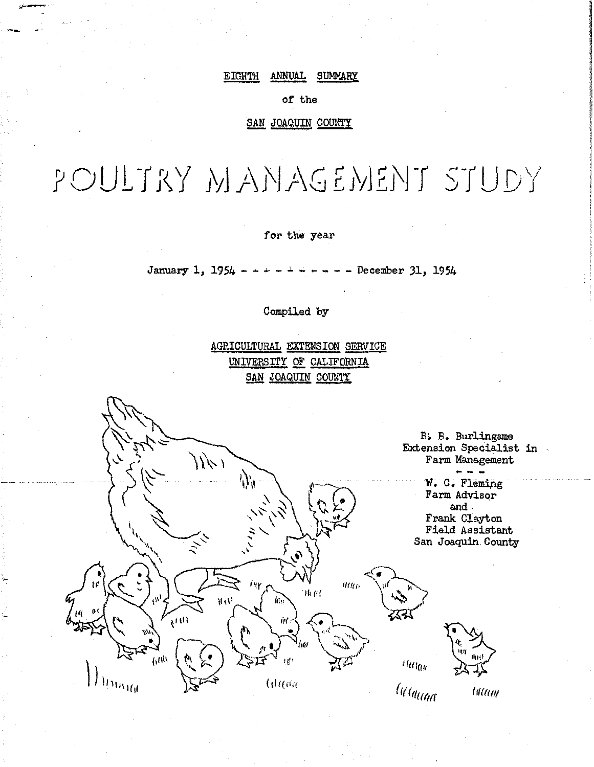#### EIGHTH ANNUAL SUMMARY

#### of the

#### SAN JOAQUIN COUNTY

**WANTED SOLUTIONS CONTROLLED INSERT CONSULTANCE** 

*<u>International</u>* l **www.common SUMMER** 

# POULTRY MANAGEMENT STUDY

#### for the year

January 1, 1954 - - - - - - - - December 31, 1954

#### Compiled by

AGRICULTURAL EXTENSION SERVICE UNIVERSITY OF CALIFORNIA SAN JOAQUIN COUNTY

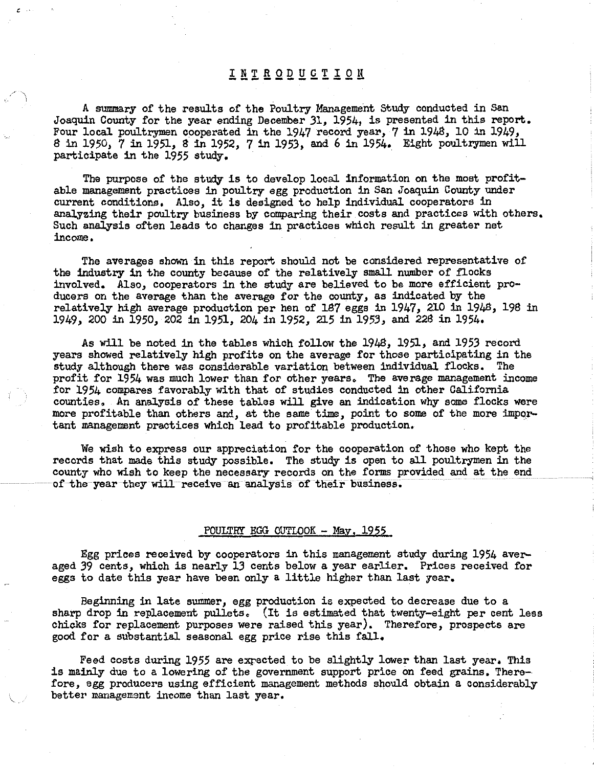## INTRODUCTION

*c* .

A summary of the results of the Poultry Management Study conducted in San Joaquin County for the year ending December 31, 1954, is presented in this report, Four local poultrymen cooperated in the 1947 record year, 7 in 1948, 10 in 1949, 8 in 1950, 7 in 1951, 8 in 1952, 7 in 1953, and 6 in 1954. Eight poultrymen will participate in the 1955 study,

The purpose of the study is to develop local information on the most profitable management practices in poultry egg production in San Joaquin County under current conditions, Also, it is designed to help individual cooperators in analyzing their poultry business by comparing their costs and practices with others. Such analysis often leads to changes in practices which result in greater net income,

The averages shown in this report should not be considered representative of the industry in the county because of the relatively small number of flocks involved, Also, cooperators in the study are believed to be more efficient producers on the average than the average for the county, as indicated by the relatively high average production per hen of 187 eggs in 1947, 210 in 1948, 198 in 1949, 200 in 1950, 202 in 1951, 204 in 1952, 215 in 1953, and 228 in 1954.

As will be noted in the tables which follow the 1948, 1951, and 1953 record years showed relatively high profits on the average for those participating in the study although there was considerable variation between individual flocks. The profit for 1954 was much lower than for other years. The average management income for 1954 compares favorably with that of studies conducted in other California counties. An analysis of these tables will give an indication why some flocks were more profitable than others and, at the same time, point to some of the more impqrtant management practices which lead to profitable production.

We wish to express our appreciation for the cooperation of those who kept the records that made this study possible. The study is open to all poultrymen in the county who wish to keep the necessary records on the forms provided and at the end of the year they will receive an analysis of their business.

#### POULTRY EGG OUTLOOK - May, 1955

Egg prices received by cooperators in this management study during 1954 averaged 39 cents, which is nearly 13 cents below a year earlier, Prices received for eggs to date this year have been only a little higher than last year,

Beginning in late summer, egg production is expected to decrease due to a sharp drop in replacement pullets. (It is estimated that twenty-eight per cent less chicks for replacement purposes were raised this year). Therefore, prospects are good for a substantial seasonal egg price rise this fall,

Feed costs during 1955 are expected to be slightly lower than last year. This is mainly due to a lowering of the government support price on feed grains, Therefore, egg producers using efficient management methods should obtain a considerably better management income than last year,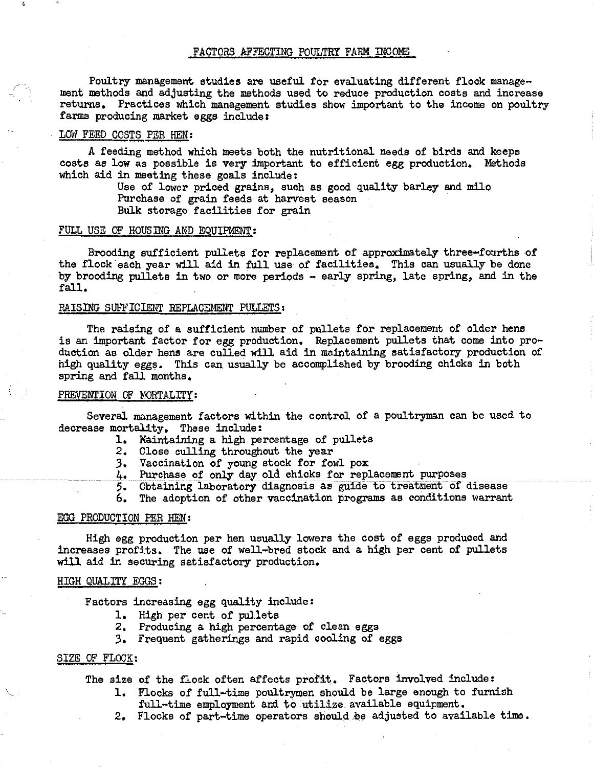#### FACTORS AFFECTING POULTRY FARM INCOME

Poultry management studies are useful for evaluating different flock management methods and adjusting the methods used to reduce production costs and increase returns. Practices which management studies show important to the income on poultry farms producing market eggs include:

#### LOW FEED COSTS PER HEN:

A feeding method which meets both the nutritional needs of birds and keeps costs as low as possible is very important to efficient egg production. Methods which aid in meeting these goals include:

> Use of lower priced grains, such as good quality barley and milo Purchase of grain feeds at harvest season Bulk storage facilities for grain

#### FULL USE OF HOUSING AND EQUIPMENT:

Brooding sufficient pullets for replacement of approximately three-fourths of the flock each year will aid in full use of facilities. This can usually be done by brooding pullets in two or more periods - early spring, late spring, and in the fall.

#### RAISING SUFFICIENT REPLACEMENT PULLETS:

The raising of a sufficient number of pullets for replacement of older hens is an important factor for egg production. Replacement pullets that come into production as older hens are culled will aid in maintaining satisfactory production of high quality eggs. This can usually be accomplished by brooding chicks in both spring and fall months.

#### PREVENTION OF MORTALITY:

Several management factors within the control of a poultryman can be used to decrease mortality, These include:

- l. Maintaining a high percentage of pullets
- 2, Close culling throughout the year
- *3.* Vaccination of young stock for fowl pox
- 4, Purchase of only day old chicks for replacement purposes
- 5, Obtaining laboratory diagnosis as guide to treatment of disease
- 6. The adoption of other vaccination programs as conditions warrant

#### EGG PRODUCTION PER HEN:

High egg production per hen usually lowers the cost of eggs produced and increases profits. The use of well-bred stock and a high per cent of pullets will aid in securing satisfactory production.

#### HIGH QUALITY EGGS:

Factors increasing egg quality include:

- 1. High per cent of pullets
- 2. Producing a high percentage of clean eggs
- *3,* Frequent gatherings and rapid cooling of eggs

#### SIZE OF FLOCK:

The size of the flock often affects profit. Factors involved include:

- 1, Flocks of full-time poultrymen should be large enough to furnish full-time employment and to utilize available equipment.
- 2. Flocks of part-time operators should be adjusted to available time.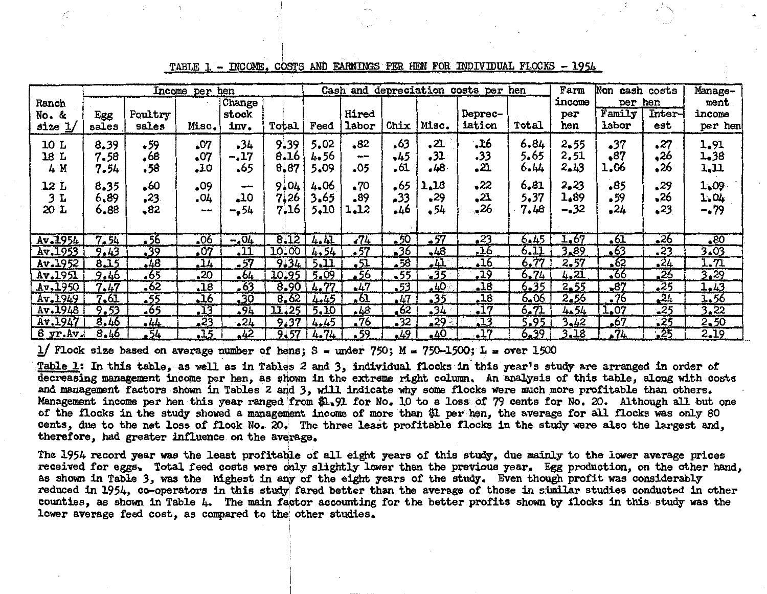|                     | Income per hen       |                    |                          |                        |                      |                      | Cash and depreciation costs per hen |                       |                          | Farm                            | Non cash costs       |                        | Manage-            |                   |                         |
|---------------------|----------------------|--------------------|--------------------------|------------------------|----------------------|----------------------|-------------------------------------|-----------------------|--------------------------|---------------------------------|----------------------|------------------------|--------------------|-------------------|-------------------------|
| Ranch               |                      | Poultry            |                          | Change<br>stock        |                      |                      | Hired                               |                       |                          | Deprec-                         |                      | income<br>per          | per hen<br>Family  | Inter-            | ment<br>income          |
| No. &<br>size $1/$  | Egg<br>sales         | sales              | Misc.                    | inv.                   | Total                | Feed                 | labor                               | Chix                  | Misc.                    | iation                          | Total                | hen                    | <b>Labor</b>       | est               | per hen                 |
| 10 L<br>18 L<br>4 M | 8.39<br>7.58<br>7.54 | 59ء<br>68ء<br>.58  | .07<br>$\cdot$ 07<br>,10 | -34<br>$-.17$<br>65ء   | 9.39<br>8.16<br>8,87 | 5.02<br>4.56<br>5.09 | •82<br>$\cdots$<br>05ء              | .63<br>-45<br>.61     | $\cdot$ 21<br>.31<br>.48 | 16ء<br>33،<br>, 21              | 6.84<br>5,65<br>6.44 | 2.55<br>2.51<br>2,43   | 37ء<br>.87<br>1.06 | .27<br>26ء<br>•26 | 1.91<br>1.38<br>1.11    |
| 12 L<br>3 L<br>20 L | 8.35<br>6.89<br>6.88 | 60ء<br>.23.<br>82ء | .09<br>.04<br>$-$        | $- -$<br>10.<br>$-154$ | 9.04<br>7.26<br>7.16 | 4.06<br>3.65<br>5,10 | 70ء<br>-89<br>1.12                  | .65<br>33ء<br>.46     | 1.18<br>$-29$<br>54ء     | 22ء<br>$\cdot$ 21<br>$\cdot$ 26 | 6,81<br>5.37<br>7.48 | 2,23<br>1.89<br>$-.32$ | .85<br>59ء<br>24   | .29<br>26ء<br>•23 | 1,09<br>1.04<br>$-0.79$ |
| Av. 1954            | 7.54                 | - 56               | .06                      | $-04$                  | 8.12                 | 4.41                 | $\sqrt{4}$                          | .50                   | •57                      | $\cdot$ 23                      | 6.45                 | 1.67                   | $\overline{.61}$   | $-26$             | .80                     |
| Av.1953             | 9.43                 | .39                | $\sqrt{27}$              | $\cdot$ 11             | 10.00                | 4.54                 | . 57                                | $-36$                 | $-48$                    | .16                             | 6.11                 | 3.89                   | 63                 | $\overline{.23}$  | 3.03                    |
| Av.1952             | 8.15                 | 48                 | 14                       | $-57$                  | 9.31                 | 5.11                 | .51                                 | $-58$                 | .41                      | .16                             | 6.77                 | 2.57                   | $-62$              | 24                | 1.71                    |
| Av.1951             | 9.46                 | .65                | 20                       | $-64$                  | 10.95                | 5.09                 | .56                                 | $\overline{\cdot 55}$ | $-35$                    | .19                             | 6.74                 | 4.21                   | $-66$              | 26                | 3.29                    |
| Av.1950             | 7.47                 | .62                | .18                      | .63                    | 8.90                 | 4.77                 | $+47$                               | .53                   | $-40$                    | $-18$                           | 6.35                 | 2,55                   | $-87$              | 25                | 1.43                    |
| Av.1949             | 7.61                 | $-55$              | 16                       | 30                     | 8.62                 | 4.45                 | $-61$                               | $-47$                 | $\overline{.}35$         | .18                             | 6.06                 | 2.56                   | .76                | 24                | 1.56                    |
| Av.1948             | 9.53                 | -65                | .13                      | .94                    | 11.25                | 5.10                 | .48                                 | $-62$                 | 34                       | $\overline{17}$                 | 6.71                 | 4.54                   | 1.07               | $-25$             | 3.22                    |
| Av.1947             | 8.46                 | 44                 | .23                      | 24                     | 9.37                 | 4.45                 | -76                                 | $-32$                 | .29                      | 13                              | 5.95                 | 3.42                   | $\sqrt{67}$        | $-25$             | 2,50                    |
| $8 \text{ yr.Av.}$  | 8.46                 | .54                | $\overline{15}$          | 42                     | 9.57                 | 4.74                 | .59                                 | $-49$                 | 40                       | .17                             | 6.39                 | 3,18                   | 24                 | $-25$             | 2.19                    |

TABLE 1 - INCOME. COSTS AND EARNINGS PER HEN FOR INDIVIDUAL FLOCKS - 1954

1/ Flock size based on average number of hens:  $S =$  under 750;  $M = 750-1500$ ;  $L =$  over 1500

Table 1: In this table, as well as in Tables 2 and 3, individual flocks in this year's study are arranged in order of decreasing management income per hen, as shown in the extreme right column. An analysis of this table, along with costs and management factors shown in Tables 2 and 3, will indicate why some flocks were much more profitable than others. Management income per hen this year ranged from \$1.91 for No. 10 to a loss of 79 cents for No. 20. Although all but one of the flocks in the study showed a management income of more than \$1 per hen, the average for all flocks was only 80 cents, due to the net loss of flock No. 20. The three least profitable flocks in the study were also the largest and. therefore, had greater influence on the average.

The 1954 record year was the least profitable of all eight years of this study, due mainly to the lower average prices received for eggs. Total feed costs were only slightly lower than the previous year. Egg production, on the other hand. as shown in Table 3, was the highest in any of the eight years of the study. Even though profit was considerably reduced in 1954, co-operators in this study fared better than the average of those in similar studies conducted in other counties, as shown in Table 4. The main factor accounting for the better profits shown by flocks in this study was the lower average feed cost, as compared to the other studies.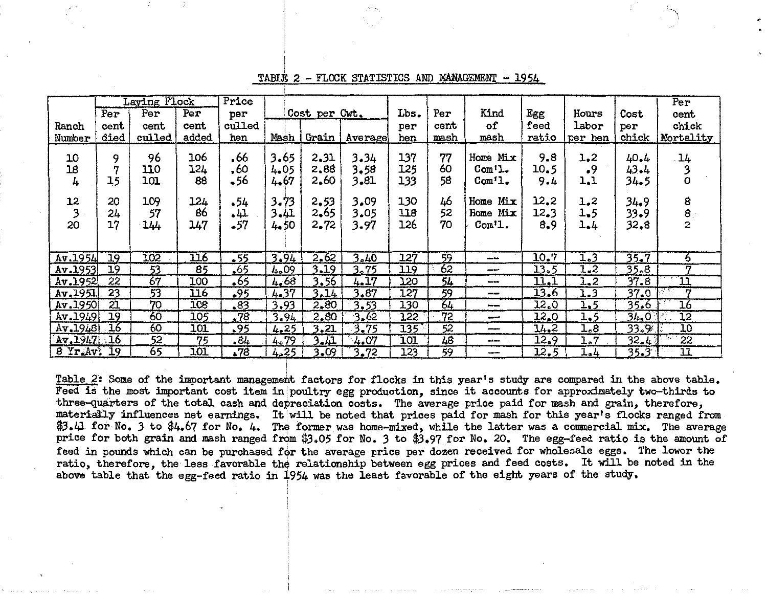|              | Laying Flock    |                 |        | Price  |          |               |         |      |      |                     |       |         | Per   |                 |
|--------------|-----------------|-----------------|--------|--------|----------|---------------|---------|------|------|---------------------|-------|---------|-------|-----------------|
|              | Per             | Per             | Per    | per    |          | Cost per Cwt. |         | Lbs. | Per  | Kind                | Egg   | Hours   | Cost  | cent            |
| Ranch        | cent            | cent            | cent   | culled |          |               |         | per  | cent | of                  | feed  | labor   | per   | chick           |
| Number       | died            | culled          | added. | hen    | Mash     | Grain         | Average | hen  | mash | mash                | ratio | per hen | chick | Mortality       |
| 10           | 9               | 96              | 106    | .66    | 3.65     | 2.31          | 3.34    | 137  | 77   | Home Mix            | 9.8   | 1,2     | 40.4  | 14              |
| 18           | 7               | 110             | 124    | .60    | 4.05     | 2.88          | 3.58    | 125  | 60   | $Com1$ .            | 10.5  | •9      | 43.4  | 3               |
| 4            | 15              | 101             | 88     | 56ء    | 4.67     | 2.60          | 3.81    | 133  | 58   | $Comt$ .            | 9.4   | 1.1     | 34.5  |                 |
|              |                 |                 |        |        |          |               |         |      |      |                     |       |         |       |                 |
| 12           | 20              | 109             | 124    | 54ء    | $3 - 73$ | 2,53          | 3.09    | 130  | 46   | Mix<br>Home         | 12.2  | 1.2     | 34.9  | 8               |
| 3            | 24              | 57              | 86     | 4٦.    | 3.41     | 2,65          | 3.05    | 118  | 52   | Home Mix            | 12.3  | 1.5     | 33.9  | ₿.              |
| 20           | 17              | 144             | 147    | •57    | 4.50     | 2.72          | 3.97    | 126  | 70   | Com <sup>t</sup> 1. | 8,9   | 1.4     | 32.8  | $\mathbf{z}$    |
|              |                 |                 |        |        |          |               |         |      |      |                     |       |         |       |                 |
| Av. 1954     | 19              | 102             | 116    | $-55$  | 3.94     | 2.62          | 3.40    | 127  | 59   | --                  | 10.7  | 1.3     | 35.7  | 6               |
| Av.1953      | 19              | 53              | 85     | $-65$  | 4.09     | 3.19          | 3.75    | 119  | 62   | --                  | 13.5  | 1.2     | 35.8  | 17              |
| Av.1952      | 22              | $\overline{67}$ | 100    | .65    | 4.68     | 3.56          | 4.17    | 120  | 54   | <b>Section</b>      | 11.1  | $1 - 2$ | 37.8  | n               |
| Av.1951      | 23              | 53              | 116    | .95    | 4.37     | 3.14          | 3.87    | 127  | 59   | ---                 | 13.6  | 1.3     | 37.0  | 17              |
| Av.1950      | 21              | 70              | 108    | .83    | 3.93     | 2,80          | 3.53    | 130  | 64   | $- -$               | 12.0  | 1.5     | 35.6  | 16              |
| Av.1949      | 19              | 60              | 105    | .78    | 3.94     | 2,80          | 3.62    | 122  | 72   | ---                 | 12.0  | 1.5     | 34.0  | $\overline{12}$ |
| Av.1948      | $\overline{16}$ | 60              | 101    | -95    | 4.25     | 3,21          | 3.75    | 135  | 52   | --                  | 14.2  | 1.8     | 33.9  | 10              |
| Av.1947.16   |                 | 52              | 75     | .84    | 4.79     | 3.41          | 4.07    | 101  | 48   | مسمد                | 12.9  | 1.7     | 32.4  | 22              |
| 8 Yr. Av. 19 |                 | 65              | 101    | 578    | 4.25     | 3.09          | 3.72    | 123  | 59   | --                  | 12.5  | 1.4     | 35.3  | 11              |

TABLE 2 - FLOCK STATISTICS AND MANAGEMENT - 1954

Table 2: Some of the important management factors for flocks in this year's study are compared in the above table. Feed is the most important cost item in poultry egg production, since it accounts for approximately two-thirds to three-quarters of the total cash and depreciation costs. The average price paid for mash and grain, therefore, materially influences net earnings. It will be noted that prices paid for mash for this year's flocks ranged from \$3.41 for No. 3 to \$4.67 for No. 4. The former was home-mixed, while the latter was a commercial mix. The average price for both grain and mash ranged from \$3.05 for No. 3 to \$3.97 for No. 20. The egg-feed ratio is the amount of feed in pounds which can be purchased for the average price per dozen received for wholesale eggs. The lower the ratio, therefore, the less favorable the relationship between egg prices and feed costs. It will be noted in the above table that the egg-feed ratio in 1954 was the least favorable of the eight years of the study.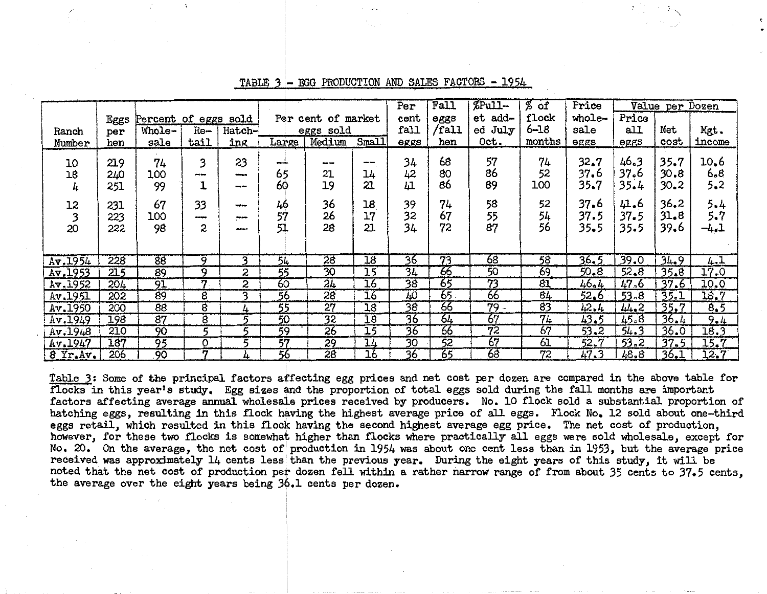|          |      |                      |                |               |                 |                       | Per             | Fall            | %Pull- | $%$ of          | Price           |          | Value per Dozen |          |        |
|----------|------|----------------------|----------------|---------------|-----------------|-----------------------|-----------------|-----------------|--------|-----------------|-----------------|----------|-----------------|----------|--------|
|          | Eggs | Percent of eggs sold |                |               |                 | Per cent<br>of market |                 |                 | eggs   | add-<br>et      | flock           | whole-   | Price           |          |        |
| Ranch    | per  | Whole-               | Re—            | Hatch-        |                 | eggs sold             |                 | fall            | /fall  | ed July         | $6 - 18$        | sale     | all             | Net      | Mgt.   |
| Number   | hen  | sale                 | tail           | ing           | Large           | Medium                | <b>Small</b>    | eggs            | hen    | Oct.            | months          | eggs     | eggs            | cost     | income |
|          |      |                      |                |               |                 |                       |                 |                 | 68     | 57              | 74              | 32.7     | 46.3            | 35.7     | 10.6   |
| 10       | 219  | 74                   | 3              | 23            | بجديجه          | ---                   | with fame       | 34              | 80     | 86              |                 |          | 37.6            | 30.8     | 6.8    |
| 18       | 240  | 100                  | ---            | وموجعه        | 65              | 21                    | 14              | 42              |        |                 | 52              | 37.6     |                 |          |        |
| 4        | 251  | 99                   |                | --            | 60              | 19                    | 21              | 41              | 86     | 89              | 100             | 35.7     | 35.4            | $30 - 2$ | 5.2    |
| 12       | 231  | 67                   | 33             | --            | 46              | 36                    | 18              | 39              | 74     | 58              | 52              | 37.6     | 41.6            | 36.2     | 5.4    |
|          | 223  | 100                  |                | <b>Second</b> | 57              | 26                    | 17              | 32              | 67     | 55              | 54              | 37.5     | 37.5            | 31.8     | 5.7    |
| 20       | 222  | 98                   | 2              |               | 51              | 28                    | 21              | 34              | 72     | 87              | 56              | 35.5     | 35.5            | 39.6     | -4.1   |
|          |      |                      |                |               |                 |                       |                 |                 |        |                 |                 |          |                 |          |        |
|          |      |                      |                |               |                 |                       |                 |                 |        |                 |                 |          |                 |          |        |
| Av.1954  | 228  | 88                   | 9              | 3.            | 54              | 28                    | 18              | 36              | 73     | 68              | 58              | 36.5     | 39.0            | 34.9     | 4.1    |
| Av.1953  | 215  | 89                   | 9              | 2             | $\overline{55}$ | $\overline{30}$       | 15              | 34              | 66     | 50              | 69              | $50 - 8$ | 52.8            | 35.8     | 17.0   |
| Av.1952  | 204  | 91                   | 77             | 2             | 60              | 24                    | 16              | $\overline{38}$ | 65     | 73              | $\overline{81}$ | 46.4     | 47.6            | 37.6     | 10.0   |
| Av.1951  | 202  | 89                   | 8              | વ             | 56              | $\overline{28}$       | 16              | 40              | 65     | 66              | 84              | 52.6     | 53,8            | 35.1     | 18.7   |
| Av.1950  | 200  | 88                   | $\overline{8}$ | 4             | 55              | 27                    | 18              | 38              | 66     | $79 -$          | 83              | 42.4     | 44.2            | 35.7     | 8.5    |
| Av.1949  | 198  | $\overline{87}$      | 8              | 5             | 50              | $\overline{32}$       | $\overline{18}$ | 36              | 64     | 67              | 74              | 43.5     | 45.8            | 36.4     | 9.4    |
| Av.1948  | 210  | 90                   | 5              | κ             | 59              | 26                    | 15              | 36              | 66     | $\overline{72}$ | 67              | 53.2     | 54.3            | 36.0     | 18.3   |
| Av.1947  | 187  | 95                   | O              | 5             | 57              | 29                    | $\overline{14}$ | $\overline{30}$ | 52     | 67              | 61              | $52 - 7$ | 53.2            | 37.5     | 15.7   |
| 8 Yr.Av. | 206  | .90                  | n              | 4             | 56              | $\overline{28}$       | 16              | 36              | 65     | 68              | $\overline{72}$ | 47.3     | 48.8            | 36.1     | 12.7   |

TABLE 3 - EGG PRODUCTION AND SALES FACTORS - 1954

Table 3: Some of the principal factors affecting egg prices and net cost per dozen are compared in the above table for flocks in this year's study. Egg sizes and the proportion of total eggs sold during the fall months are important factors affecting average annual wholesale prices received by producers. No. 10 flock sold a substantial proportion of hatching eggs, resulting in this flock having the highest average price of all eggs. Flock No, 12 sold about one-third eggs retail, which resulted in this flock having the second highest average egg price. The net cost of production, however, for these two flocks is somewhat higher than flocks where practically all eggs were sold wholesale, except for No. 20. On the average, the net cost of production in 1954 was about one cent less than in 1953, but the average price received was approximately 14 cents less than the previous year. During the eight years of this study. it will be noted that the net cost of production per dozen fell within a rather narrow range of from about 35 cents to 37.5 cents. the average over the eight years being 36.1 cents per dozen.